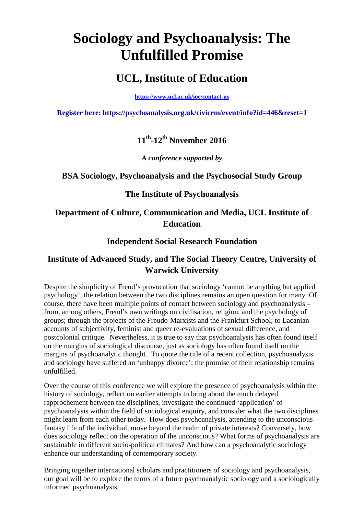# **Sociology and Psychoanalysis: The Unfulfilled Promise**

## **UCL, Institute of Education**

**<https://www.ucl.ac.uk/ioe/contact-us>**

**Register here: <https://psychoanalysis.org.uk/civicrm/event/info?id=446&reset=1>**

## **11th-12th November 2016**

*A conference supported by*

### **BSA Sociology, Psychoanalysis and the Psychosocial Study Group**

### **The Institute of Psychoanalysis**

## **Department of Culture, Communication and Media, UCL Institute of Education**

## **Independent Social Research Foundation**

## **Institute of Advanced Study, and The Social Theory Centre, University of Warwick University**

Despite the simplicity of Freud's provocation that sociology 'cannot be anything but applied psychology', the relation between the two disciplines remains an open question for many. Of course, there have been multiple points of contact between sociology and psychoanalysis – from, among others, Freud's own writings on civilisation, religion, and the psychology of groups; through the projects of the Freudo-Marxists and the Frankfurt School; to Lacanian accounts of subjectivity, feminist and queer re-evaluations of sexual difference, and postcolonial critique. Nevertheless, it is true to say that psychoanalysis has often found itself on the margins of sociological discourse, just as sociology has often found itself on the margins of psychoanalytic thought. To quote the title of a recent collection, psychoanalysis and sociology have suffered an 'unhappy divorce'; the promise of their relationship remains unfulfilled.

Over the course of this conference we will explore the presence of psychoanalysis within the history of sociology, reflect on earlier attempts to bring about the much delayed rapprochement between the disciplines, investigate the continued 'application' of psychoanalysis within the field of sociological enquiry, and consider what the two disciplines might learn from each other today. How does psychoanalysis, attending to the unconscious fantasy life of the individual, move beyond the realm of private interests? Conversely, how does sociology reflect on the operation of the unconscious? What forms of psychoanalysis are sustainable in different socio-political climates? And how can a psychoanalytic sociology enhance our understanding of contemporary society.

Bringing together international scholars and practitioners of sociology and psychoanalysis, our goal will be to explore the terms of a future psychoanalytic sociology and a sociologically informed psychoanalysis.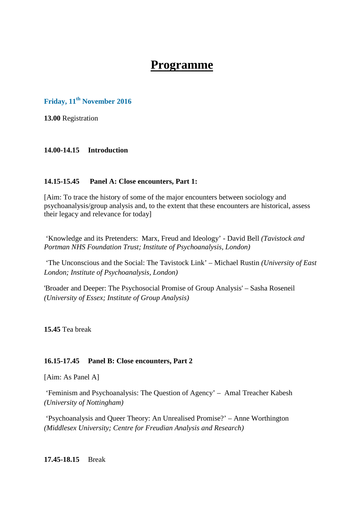# **Programme**

## **Friday, 11th November 2016**

**13.00** Registration

#### **14.00-14.15 Introduction**

#### **14.15-15.45 Panel A: Close encounters, Part 1:**

[Aim: To trace the history of some of the major encounters between sociology and psychoanalysis/group analysis and, to the extent that these encounters are historical, assess their legacy and relevance for today]

'Knowledge and its Pretenders: Marx, Freud and Ideology' - David Bell *(Tavistock and Portman NHS Foundation Trust; Institute of Psychoanalysis, London)*

'The Unconscious and the Social: The Tavistock Link' – Michael Rustin *(University of East London; Institute of Psychoanalysis, London)*

'Broader and Deeper: The Psychosocial Promise of Group Analysis' – Sasha Roseneil *(University of Essex; Institute of Group Analysis)*

**15.45** Tea break

#### **16.15-17.45 Panel B: Close encounters, Part 2**

[Aim: As Panel A]

'Feminism and Psychoanalysis: The Question of Agency' – Amal Treacher Kabesh *(University of Nottingham)*

'Psychoanalysis and Queer Theory: An Unrealised Promise?' – Anne Worthington *(Middlesex University; Centre for Freudian Analysis and Research)*

**17.45-18.15** Break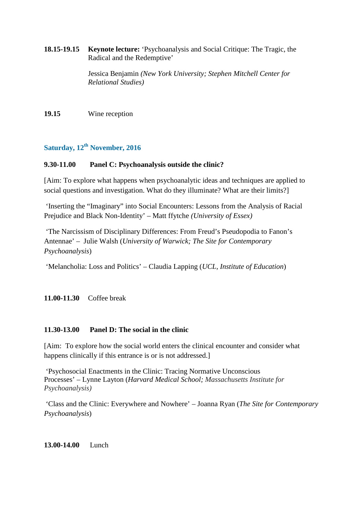**18.15-19.15 Keynote lecture:** 'Psychoanalysis and Social Critique: The Tragic, the Radical and the Redemptive'

> Jessica Benjamin *(New York University; Stephen Mitchell Center for Relational Studies)*

**19.15** Wine reception

## **Saturday, 12th November, 2016**

#### **9.30-11.00 Panel C: Psychoanalysis outside the clinic?**

[Aim: To explore what happens when psychoanalytic ideas and techniques are applied to social questions and investigation. What do they illuminate? What are their limits?]

'Inserting the "Imaginary" into Social Encounters: Lessons from the Analysis of Racial Prejudice and Black Non-Identity' – Matt ffytche *(University of Essex)*

'The Narcissism of Disciplinary Differences: From Freud's Pseudopodia to Fanon's Antennae' – Julie Walsh (*University of Warwick; The Site for Contemporary Psychoanalysis*)

'Melancholia: Loss and Politics' – Claudia Lapping (*UCL, Institute of Education*)

**11.00-11.30** Coffee break

#### **11.30-13.00 Panel D: The social in the clinic**

[Aim: To explore how the social world enters the clinical encounter and consider what happens clinically if this entrance is or is not addressed.

'Psychosocial Enactments in the Clinic: Tracing Normative Unconscious Processes' – Lynne Layton (*Harvard Medical School; Massachusetts Institute for Psychoanalysis)*

'Class and the Clinic: Everywhere and Nowhere' – Joanna Ryan (*The Site for Contemporary Psychoanalysis*)

**13.00-14.00** Lunch